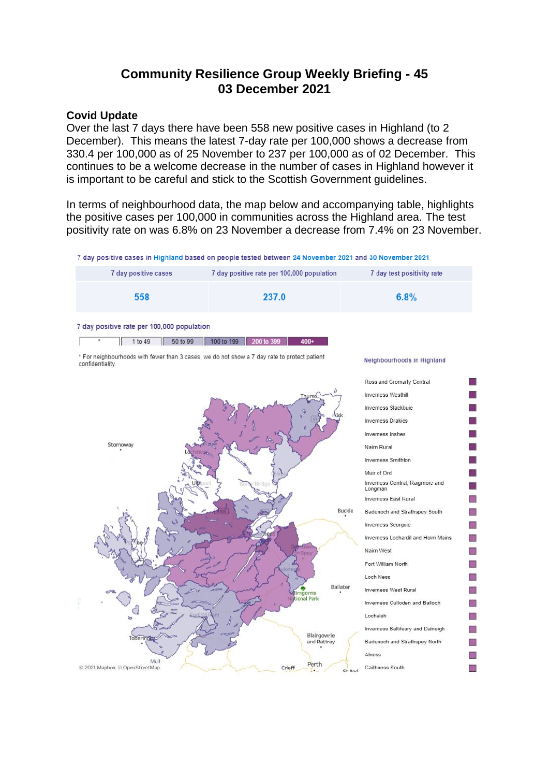# **Community Resilience Group Weekly Briefing - 45 03 December 2021**

#### **Covid Update**

Over the last 7 days there have been 558 new positive cases in Highland (to 2 December). This means the latest 7-day rate per 100,000 shows a decrease from 330.4 per 100,000 as of 25 November to 237 per 100,000 as of 02 December. This continues to be a welcome decrease in the number of cases in Highland however it is important to be careful and stick to the Scottish Government guidelines.

In terms of neighbourhood data, the map below and accompanying table, highlights the positive cases per 100,000 in communities across the Highland area. The test positivity rate on was 6.8% on 23 November a decrease from 7.4% on 23 November.

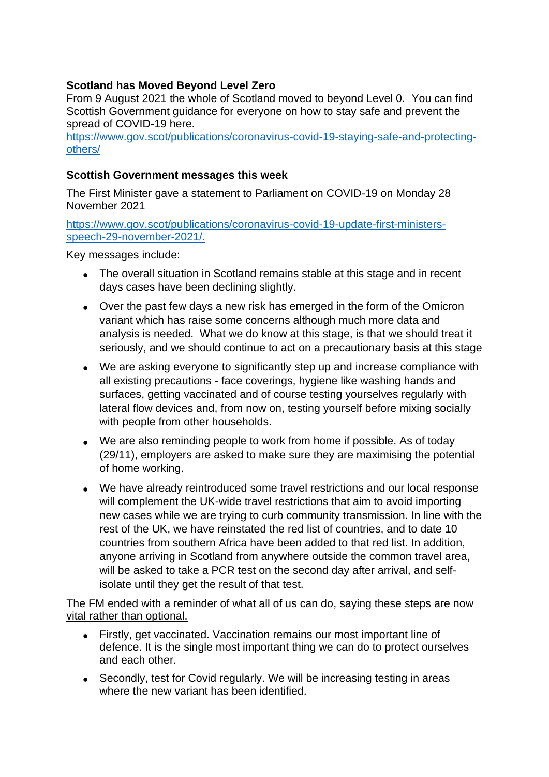# **Scotland has Moved Beyond Level Zero**

From 9 August 2021 the whole of Scotland moved to beyond Level 0. You can find Scottish Government guidance for everyone on how to stay safe and prevent the spread of COVID-19 here.

[https://www.gov.scot/publications/coronavirus-covid-19-staying-safe-and-protecting](https://www.gov.scot/publications/coronavirus-covid-19-staying-safe-and-protecting-others/)[others/](https://www.gov.scot/publications/coronavirus-covid-19-staying-safe-and-protecting-others/)

### **Scottish Government messages this week**

The First Minister gave a statement to Parliament on COVID-19 on Monday 28 November 2021

[https://www.gov.scot/publications/coronavirus-covid-19-update-first-ministers](https://www.gov.scot/publications/coronavirus-covid-19-update-first-ministers-speech-29-november-2021/)[speech-29-november-2021/.](https://www.gov.scot/publications/coronavirus-covid-19-update-first-ministers-speech-29-november-2021/)

Key messages include:

- The overall situation in Scotland remains stable at this stage and in recent days cases have been declining slightly.
- Over the past few days a new risk has emerged in the form of the Omicron variant which has raise some concerns although much more data and analysis is needed. What we do know at this stage, is that we should treat it seriously, and we should continue to act on a precautionary basis at this stage
- We are asking everyone to significantly step up and increase compliance with all existing precautions - face coverings, hygiene like washing hands and surfaces, getting vaccinated and of course testing yourselves regularly with lateral flow devices and, from now on, testing yourself before mixing socially with people from other households.
- We are also reminding people to work from home if possible. As of today (29/11), employers are asked to make sure they are maximising the potential of home working.
- We have already reintroduced some travel restrictions and our local response will complement the UK-wide travel restrictions that aim to avoid importing new cases while we are trying to curb community transmission. In line with the rest of the UK, we have reinstated the red list of countries, and to date 10 countries from southern Africa have been added to that red list. In addition, anyone arriving in Scotland from anywhere outside the common travel area, will be asked to take a PCR test on the second day after arrival, and selfisolate until they get the result of that test.

The FM ended with a reminder of what all of us can do, saying these steps are now vital rather than optional.

- Firstly, get vaccinated. Vaccination remains our most important line of defence. It is the single most important thing we can do to protect ourselves and each other.
- Secondly, test for Covid regularly. We will be increasing testing in areas where the new variant has been identified.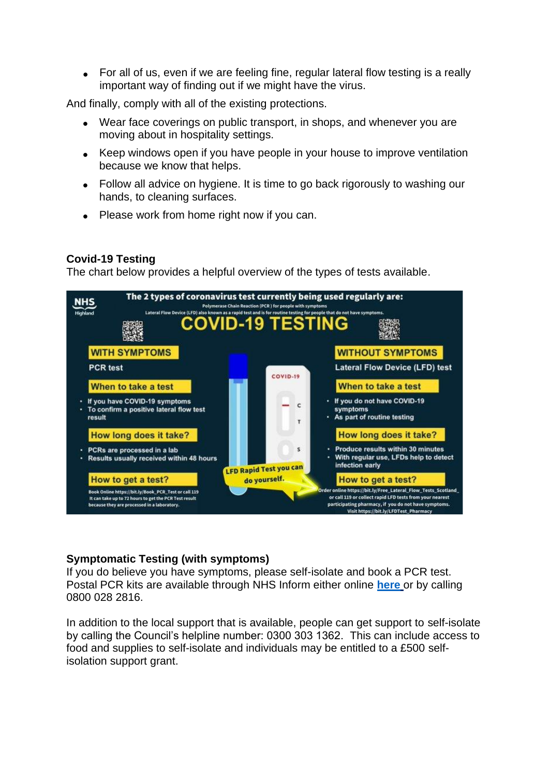• For all of us, even if we are feeling fine, regular lateral flow testing is a really important way of finding out if we might have the virus.

And finally, comply with all of the existing protections.

- Wear face coverings on public transport, in shops, and whenever you are moving about in hospitality settings.
- Keep windows open if you have people in your house to improve ventilation because we know that helps.
- Follow all advice on hygiene. It is time to go back rigorously to washing our hands, to cleaning surfaces.
- Please work from home right now if you can.

# **Covid-19 Testing**

The chart below provides a helpful overview of the types of tests available.



# **Symptomatic Testing (with symptoms)**

If you do believe you have symptoms, please self-isolate and book a PCR test. Postal PCR kits are available through NHS Inform either online **[here](https://eur02.safelinks.protection.outlook.com/?url=https%3A%2F%2Fwww.nhsinform.scot%2Fillnesses-and-conditions%2Finfections-and-poisoning%2Fcoronavirus-covid-19%2Ftest-and-protect%2Fcoronavirus-covid-19-how-to-do-a-pcr-test-at-home&data=04%7C01%7C%7C782f2f7756ee483e42e308d94dec951d%7C89f0b56e6d164fe89dba176fa940f7c9%7C0%7C0%7C637626500816082039%7CUnknown%7CTWFpbGZsb3d8eyJWIjoiMC4wLjAwMDAiLCJQIjoiV2luMzIiLCJBTiI6Ik1haWwiLCJXVCI6Mn0%3D%7C1000&sdata=Y%2BavkxLVdZX7n9HajM7JAMRH0o5v7yj1NIhNsrPP9Tg%3D&reserved=0)** or by calling 0800 028 2816.

In addition to the local support that is available, people can get support to self-isolate by calling the Council's helpline number: 0300 303 1362. This can include access to food and supplies to self-isolate and individuals may be entitled to a £500 selfisolation support grant.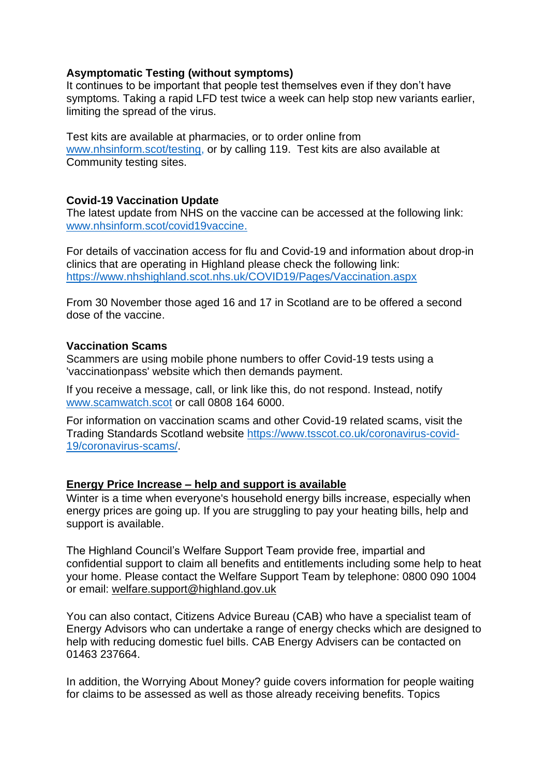# **Asymptomatic Testing (without symptoms)**

It continues to be important that people test themselves even if they don't have symptoms. Taking a rapid LFD test twice a week can help stop new variants earlier, limiting the spread of the virus.

Test kits are available at pharmacies, or to order online from [www.nhsinform.scot/testing,](http://www.nhsinform.scot/testing) or by calling 119. Test kits are also available at Community testing sites.

# **Covid-19 Vaccination Update**

The latest update from NHS on the vaccine can be accessed at the following link: [www.nhsinform.scot/covid19vaccine.](http://www.nhsinform.scot/covid19vaccine)

For details of vaccination access for flu and Covid-19 and information about drop-in clinics that are operating in Highland please check the following link: <https://www.nhshighland.scot.nhs.uk/COVID19/Pages/Vaccination.aspx>

From 30 November those aged 16 and 17 in Scotland are to be offered a second dose of the vaccine.

### **Vaccination Scams**

Scammers are using mobile phone numbers to offer Covid-19 tests using a 'vaccinationpass' website which then demands payment.

If you receive a message, call, or link like this, do not respond. Instead, notify [www.scamwatch.scot](https://l.facebook.com/l.php?u=http%3A%2F%2Fwww.scamwatch.scot%2F%3Ffbclid%3DIwAR1CaklQ6iwavFGlp5wGDowoOIQAIkVsr2aHwiu7cGzNoEY_ESeOOyTPex4&h=AT2cl3YgxOodbMWJBxy2LnYguaMttXmC99x_F1OYDn-BVq2Z_ko9mv0LaXAzaBAxVlnp-JCla3gPx5JSO_61K3DsLAcsx0a_eClEc-8WUpVcclYRGyB__0Pf1pe_1jGtPQ&__tn__=-UK-R&c%5b0%5d=AT3JSNQACBoUlAeDvOyI1FQ5CjRUKSKlbEgSC4-XFWORzzDjL7GKJqHUQkylGZ2kgiZGypec69ZGfxWQF2ywRbyopg37e9YxDn0jLUrTVKkMoLj9b_3Uyostyye8do4cQGl_OAqpIXv_FMedmyV2mbbyxHfWSu0IBLzYH6xQ5PTl0-WpCtCw) or call 0808 164 6000.

For information on vaccination scams and other Covid-19 related scams, visit the Trading Standards Scotland website [https://www.tsscot.co.uk/coronavirus-covid-](https://www.tsscot.co.uk/coronavirus-covid-19/coronavirus-scams/)[19/coronavirus-scams/.](https://www.tsscot.co.uk/coronavirus-covid-19/coronavirus-scams/)

### **Energy Price Increase – [help and support is available](https://www.highland.gov.uk/news/article/14189/energy_price_increase_%E2%80%93_help_and_support_is_available)**

Winter is a time when everyone's household energy bills increase, especially when energy prices are going up. If you are struggling to pay your heating bills, help and support is available.

The Highland Council's Welfare Support Team provide free, impartial and confidential support to claim all benefits and entitlements including some help to heat your home. Please contact the Welfare Support Team by telephone: 0800 090 1004 or email: [welfare.support@highland.gov.uk](mailto:welfare.support@highland.gov.uk)

You can also contact, Citizens Advice Bureau (CAB) who have a specialist team of Energy Advisors who can undertake a range of energy checks which are designed to help with reducing domestic fuel bills. CAB Energy Advisers can be contacted on 01463 237664.

In addition, the Worrying About Money? guide covers information for people waiting for claims to be assessed as well as those already receiving benefits. Topics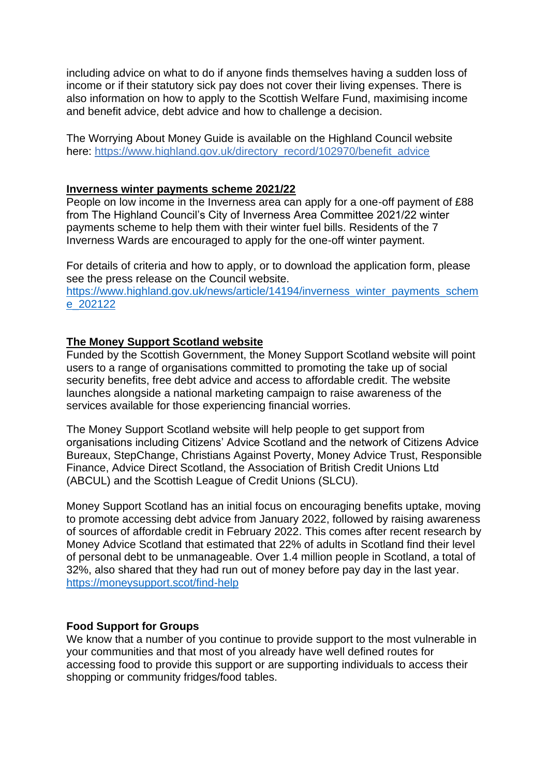including advice on what to do if anyone finds themselves having a sudden loss of income or if their statutory sick pay does not cover their living expenses. There is also information on how to apply to the Scottish Welfare Fund, maximising income and benefit advice, debt advice and how to challenge a decision.

The Worrying About Money Guide is available on the Highland Council website here: [https://www.highland.gov.uk/directory\\_record/102970/benefit\\_advice](https://www.highland.gov.uk/directory_record/102970/benefit_advice)

#### **[Inverness winter payments scheme 2021/22](https://www.highland.gov.uk/news/article/14194/inverness_winter_payments_scheme_202122)**

People on low income in the Inverness area can apply for a one-off payment of £88 from The Highland Council's City of Inverness Area Committee 2021/22 winter payments scheme to help them with their winter fuel bills. Residents of the 7 Inverness Wards are encouraged to apply for the one-off winter payment.

For details of criteria and how to apply, or to download the application form, please see the press release on the Council website.

[https://www.highland.gov.uk/news/article/14194/inverness\\_winter\\_payments\\_schem](https://www.highland.gov.uk/news/article/14194/inverness_winter_payments_scheme_202122) [e\\_202122](https://www.highland.gov.uk/news/article/14194/inverness_winter_payments_scheme_202122)

### **[The Money Support Scotland website](https://eur02.safelinks.protection.outlook.com/?url=https%3A%2F%2Fmoneysupport.scot%2Ffind-help&data=04%7C01%7C%7C37b336768ff94de1aeff08d9b59a6da7%7C89f0b56e6d164fe89dba176fa940f7c9%7C0%7C0%7C637740497133504161%7CUnknown%7CTWFpbGZsb3d8eyJWIjoiMC4wLjAwMDAiLCJQIjoiV2luMzIiLCJBTiI6Ik1haWwiLCJXVCI6Mn0%3D%7C3000&sdata=ulLech3Xfjwn6mq4XTAYYQTewJ3oq5qsNtw9VAcSh1U%3D&reserved=0)**

Funded by the Scottish Government, the Money Support Scotland website will point users to a range of organisations committed to promoting the take up of social security benefits, free debt advice and access to affordable credit. The website launches alongside a national marketing campaign to raise awareness of the services available for those experiencing financial worries.

The Money Support Scotland website will help people to get support from organisations including Citizens' Advice Scotland and the network of Citizens Advice Bureaux, StepChange, Christians Against Poverty, Money Advice Trust, Responsible Finance, Advice Direct Scotland, the Association of British Credit Unions Ltd (ABCUL) and the Scottish League of Credit Unions (SLCU).

Money Support Scotland has an initial focus on encouraging benefits uptake, moving to promote accessing debt advice from January 2022, followed by raising awareness of sources of affordable credit in February 2022. This comes after recent research by Money Advice Scotland that estimated that 22% of adults in Scotland find their level of personal debt to be unmanageable. Over 1.4 million people in Scotland, a total of 32%, also shared that they had run out of money before pay day in the last year. <https://moneysupport.scot/find-help>

#### **Food Support for Groups**

We know that a number of you continue to provide support to the most vulnerable in your communities and that most of you already have well defined routes for accessing food to provide this support or are supporting individuals to access their shopping or community fridges/food tables.